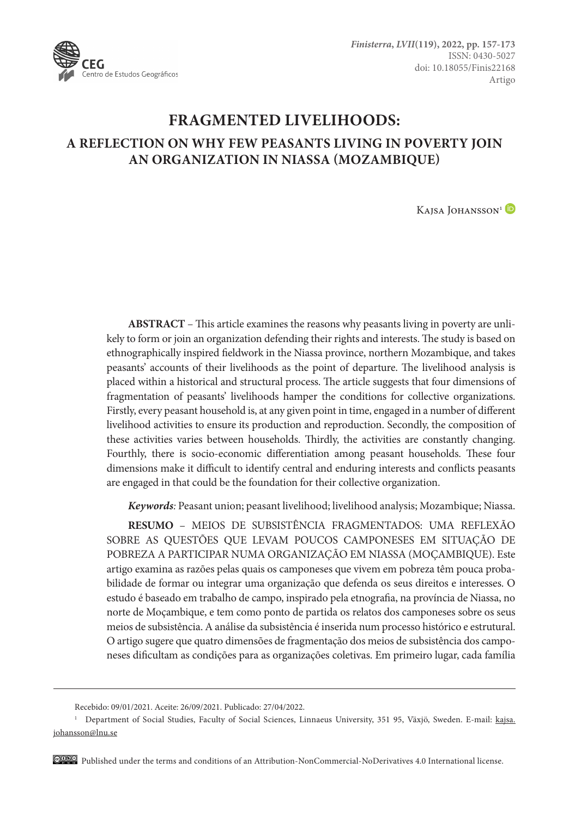

# **FRAGMENTED LIVELIHOODS: A REFLECTION ON WHY FEW PEASANTS LIVING IN POVERTY JOIN AN ORGANIZATION IN NIASSA (MOZAMBIQUE)**

Kaisa Johansson<sup>1</sup> D

**ABSTRACT** – This article examines the reasons why peasants living in poverty are unlikely to form or join an organization defending their rights and interests. The study is based on ethnographically inspired fieldwork in the Niassa province, northern Mozambique, and takes peasants' accounts of their livelihoods as the point of departure. The livelihood analysis is placed within a historical and structural process. The article suggests that four dimensions of fragmentation of peasants' livelihoods hamper the conditions for collective organizations. Firstly, every peasant household is, at any given point in time, engaged in a number of different livelihood activities to ensure its production and reproduction. Secondly, the composition of these activities varies between households. Thirdly, the activities are constantly changing. Fourthly, there is socio-economic differentiation among peasant households. These four dimensions make it difficult to identify central and enduring interests and conflicts peasants are engaged in that could be the foundation for their collective organization.

*Keywords:* Peasant union; peasant livelihood; livelihood analysis; Mozambique; Niassa.

**RESUMO** – MEIOS DE SUBSISTÊNCIA FRAGMENTADOS: UMA REFLEXÃO SOBRE AS QUESTÕES QUE LEVAM POUCOS CAMPONESES EM SITUAÇÃO DE POBREZA A PARTICIPAR NUMA ORGANIZAÇÃO EM NIASSA (MOÇAMBIQUE). Este artigo examina as razões pelas quais os camponeses que vivem em pobreza têm pouca probabilidade de formar ou integrar uma organização que defenda os seus direitos e interesses. O estudo é baseado em trabalho de campo, inspirado pela etnografia, na província de Niassa, no norte de Moçambique, e tem como ponto de partida os relatos dos camponeses sobre os seus meios de subsistência. A análise da subsistência é inserida num processo histórico e estrutural. O artigo sugere que quatro dimensões de fragmentação dos meios de subsistência dos camponeses dificultam as condições para as organizações coletivas. Em primeiro lugar, cada família

Published under the terms and conditions of an Attribution-NonCommercial-NoDerivatives 4.0 International license.

Recebido: 09/01/2021. Aceite: 26/09/2021. Publicado: 27/04/2022.

<sup>&</sup>lt;sup>1</sup> Department of Social Studies, Faculty of Social Sciences, Linnaeus University, 351 95, Växjö, Sweden. E-mail: [kajsa.](mailto:kajsa.johansson@lnu.se) [johansson@lnu.se](mailto:kajsa.johansson@lnu.se)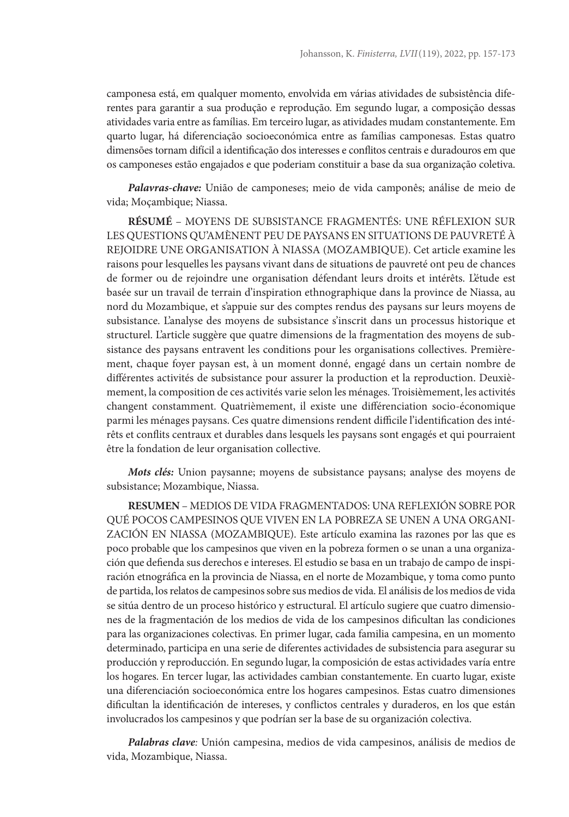camponesa está, em qualquer momento, envolvida em várias atividades de subsistência diferentes para garantir a sua produção e reprodução. Em segundo lugar, a composição dessas atividades varia entre as famílias. Em terceiro lugar, as atividades mudam constantemente. Em quarto lugar, há diferenciação socioeconómica entre as famílias camponesas. Estas quatro dimensões tornam difícil a identificação dos interesses e conflitos centrais e duradouros em que os camponeses estão engajados e que poderiam constituir a base da sua organização coletiva.

*Palavras-chave:* União de camponeses; meio de vida camponês; análise de meio de vida; Moçambique; Niassa.

**RÉSUMÉ** – MOYENS DE SUBSISTANCE FRAGMENTÉS: UNE RÉFLEXION SUR LES QUESTIONS QU'AMÈNENT PEU DE PAYSANS EN SITUATIONS DE PAUVRETÉ À REJOIDRE UNE ORGANISATION À NIASSA (MOZAMBIQUE). Cet article examine les raisons pour lesquelles les paysans vivant dans de situations de pauvreté ont peu de chances de former ou de rejoindre une organisation défendant leurs droits et intérêts. L'étude est basée sur un travail de terrain d'inspiration ethnographique dans la province de Niassa, au nord du Mozambique, et s'appuie sur des comptes rendus des paysans sur leurs moyens de subsistance. L'analyse des moyens de subsistance s'inscrit dans un processus historique et structurel. L'article suggère que quatre dimensions de la fragmentation des moyens de subsistance des paysans entravent les conditions pour les organisations collectives. Premièrement, chaque foyer paysan est, à un moment donné, engagé dans un certain nombre de différentes activités de subsistance pour assurer la production et la reproduction. Deuxièmement, la composition de ces activités varie selon les ménages. Troisièmement, les activités changent constamment. Quatrièmement, il existe une différenciation socio-économique parmi les ménages paysans. Ces quatre dimensions rendent difficile l'identification des intérêts et conflits centraux et durables dans lesquels les paysans sont engagés et qui pourraient être la fondation de leur organisation collective.

*Mots clés:* Union paysanne; moyens de subsistance paysans; analyse des moyens de subsistance; Mozambique, Niassa.

**RESUMEN** – MEDIOS DE VIDA FRAGMENTADOS: UNA REFLEXIÓN SOBRE POR QUÉ POCOS CAMPESINOS QUE VIVEN EN LA POBREZA SE UNEN A UNA ORGANI-ZACIÓN EN NIASSA (MOZAMBIQUE). Este artículo examina las razones por las que es poco probable que los campesinos que viven en la pobreza formen o se unan a una organización que defienda sus derechos e intereses. El estudio se basa en un trabajo de campo de inspiración etnográfica en la provincia de Niassa, en el norte de Mozambique, y toma como punto de partida, los relatos de campesinos sobre sus medios de vida. El análisis de los medios de vida se sitúa dentro de un proceso histórico y estructural. El artículo sugiere que cuatro dimensiones de la fragmentación de los medios de vida de los campesinos dificultan las condiciones para las organizaciones colectivas. En primer lugar, cada familia campesina, en un momento determinado, participa en una serie de diferentes actividades de subsistencia para asegurar su producción y reproducción. En segundo lugar, la composición de estas actividades varía entre los hogares. En tercer lugar, las actividades cambian constantemente. En cuarto lugar, existe una diferenciación socioeconómica entre los hogares campesinos. Estas cuatro dimensiones dificultan la identificación de intereses, y conflictos centrales y duraderos, en los que están involucrados los campesinos y que podrían ser la base de su organización colectiva.

*Palabras clave:* Unión campesina, medios de vida campesinos, análisis de medios de vida, Mozambique, Niassa.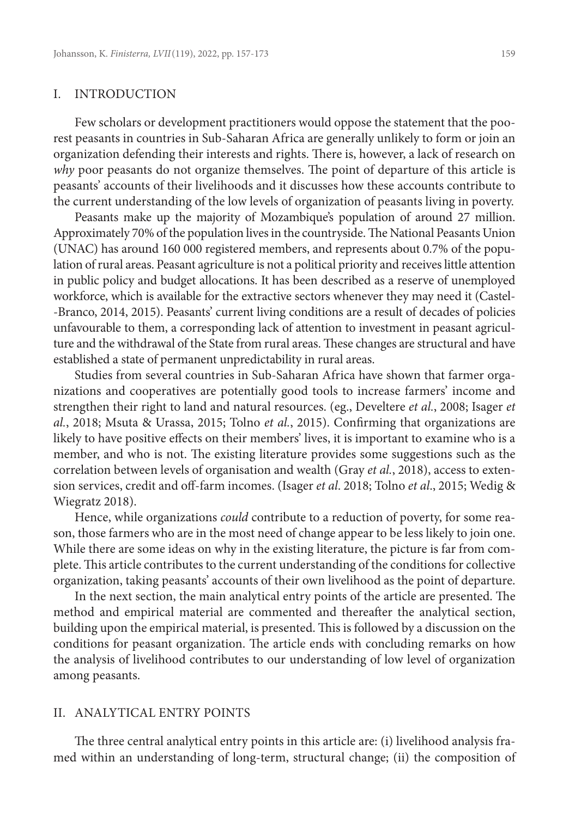#### I. INTRODUCTION

Few scholars or development practitioners would oppose the statement that the poorest peasants in countries in Sub-Saharan Africa are generally unlikely to form or join an organization defending their interests and rights. There is, however, a lack of research on *why* poor peasants do not organize themselves. The point of departure of this article is peasants' accounts of their livelihoods and it discusses how these accounts contribute to the current understanding of the low levels of organization of peasants living in poverty.

Peasants make up the majority of Mozambique's population of around 27 million. Approximately 70% of the population lives in the countryside. The National Peasants Union (UNAC) has around 160 000 registered members, and represents about 0.7% of the population of rural areas. Peasant agriculture is not a political priority and receives little attention in public policy and budget allocations. It has been described as a reserve of unemployed workforce, which is available for the extractive sectors whenever they may need it (Castel- -Branco, 2014, 2015). Peasants' current living conditions are a result of decades of policies unfavourable to them, a corresponding lack of attention to investment in peasant agriculture and the withdrawal of the State from rural areas. These changes are structural and have established a state of permanent unpredictability in rural areas.

Studies from several countries in Sub-Saharan Africa have shown that farmer organizations and cooperatives are potentially good tools to increase farmers' income and strengthen their right to land and natural resources. (eg., Develtere *et al.*, 2008; Isager *et al.*, 2018; Msuta & Urassa, 2015; Tolno *et al.*, 2015). Confirming that organizations are likely to have positive effects on their members' lives, it is important to examine who is a member, and who is not. The existing literature provides some suggestions such as the correlation between levels of organisation and wealth (Gray *et al.*, 2018), access to extension services, credit and off-farm incomes. (Isager *et al*. 2018; Tolno *et al*., 2015; Wedig & Wiegratz 2018).

Hence, while organizations *could* contribute to a reduction of poverty, for some reason, those farmers who are in the most need of change appear to be less likely to join one. While there are some ideas on why in the existing literature, the picture is far from complete. This article contributes to the current understanding of the conditions for collective organization, taking peasants' accounts of their own livelihood as the point of departure.

In the next section, the main analytical entry points of the article are presented. The method and empirical material are commented and thereafter the analytical section, building upon the empirical material, is presented. This is followed by a discussion on the conditions for peasant organization. The article ends with concluding remarks on how the analysis of livelihood contributes to our understanding of low level of organization among peasants.

#### II. ANALYTICAL ENTRY POINTS

The three central analytical entry points in this article are: (i) livelihood analysis framed within an understanding of long-term, structural change; (ii) the composition of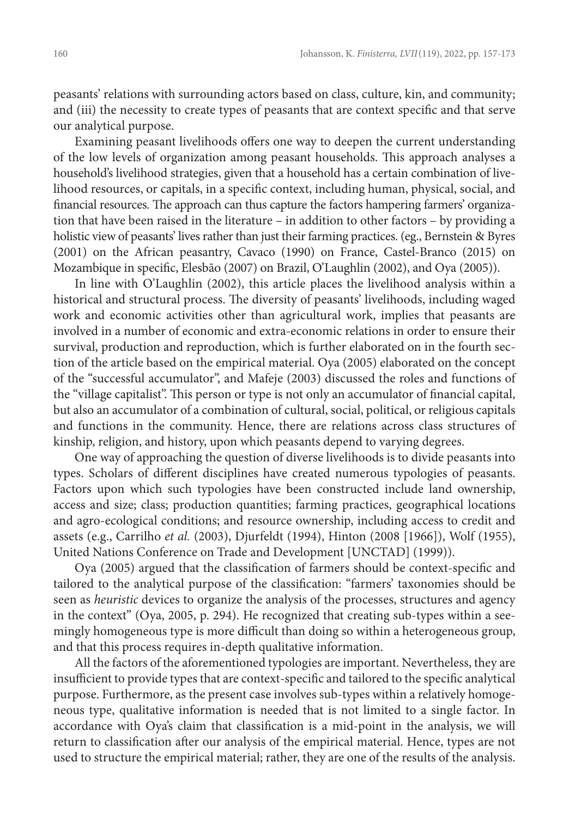peasants' relations with surrounding actors based on class, culture, kin, and community; and (iii) the necessity to create types of peasants that are context specific and that serve our analytical purpose.

Examining peasant livelihoods offers one way to deepen the current understanding of the low levels of organization among peasant households. This approach analyses a household's livelihood strategies, given that a household has a certain combination of livelihood resources, or capitals, in a specific context, including human, physical, social, and financial resources. The approach can thus capture the factors hampering farmers' organization that have been raised in the literature – in addition to other factors – by providing a holistic view of peasants' lives rather than just their farming practices. (eg., Bernstein & Byres (2001) on the African peasantry, Cavaco (1990) on France, Castel-Branco (2015) on Mozambique in specific, Elesbão (2007) on Brazil, O'Laughlin (2002), and Oya (2005)).

In line with O'Laughlin (2002), this article places the livelihood analysis within a historical and structural process. The diversity of peasants' livelihoods, including waged work and economic activities other than agricultural work, implies that peasants are involved in a number of economic and extra-economic relations in order to ensure their survival, production and reproduction, which is further elaborated on in the fourth section of the article based on the empirical material. Oya (2005) elaborated on the concept of the "successful accumulator", and Mafeje (2003) discussed the roles and functions of the "village capitalist". This person or type is not only an accumulator of financial capital, but also an accumulator of a combination of cultural, social, political, or religious capitals and functions in the community. Hence, there are relations across class structures of kinship, religion, and history, upon which peasants depend to varying degrees.

One way of approaching the question of diverse livelihoods is to divide peasants into types. Scholars of different disciplines have created numerous typologies of peasants. Factors upon which such typologies have been constructed include land ownership, access and size; class; production quantities; farming practices, geographical locations and agro-ecological conditions; and resource ownership, including access to credit and assets (e.g., Carrilho *et al.* (2003), Djurfeldt (1994), Hinton (2008 [1966]), Wolf (1955), United Nations Conference on Trade and Development [UNCTAD] (1999)).

Oya (2005) argued that the classification of farmers should be context-specific and tailored to the analytical purpose of the classification: "farmers' taxonomies should be seen as *heuristic* devices to organize the analysis of the processes, structures and agency in the context" (Oya, 2005, p. 294). He recognized that creating sub-types within a seemingly homogeneous type is more difficult than doing so within a heterogeneous group, and that this process requires in-depth qualitative information.

All the factors of the aforementioned typologies are important. Nevertheless, they are insufficient to provide types that are context-specific and tailored to the specific analytical purpose. Furthermore, as the present case involves sub-types within a relatively homogeneous type, qualitative information is needed that is not limited to a single factor. In accordance with Oya's claim that classification is a mid-point in the analysis, we will return to classification after our analysis of the empirical material. Hence, types are not used to structure the empirical material; rather, they are one of the results of the analysis.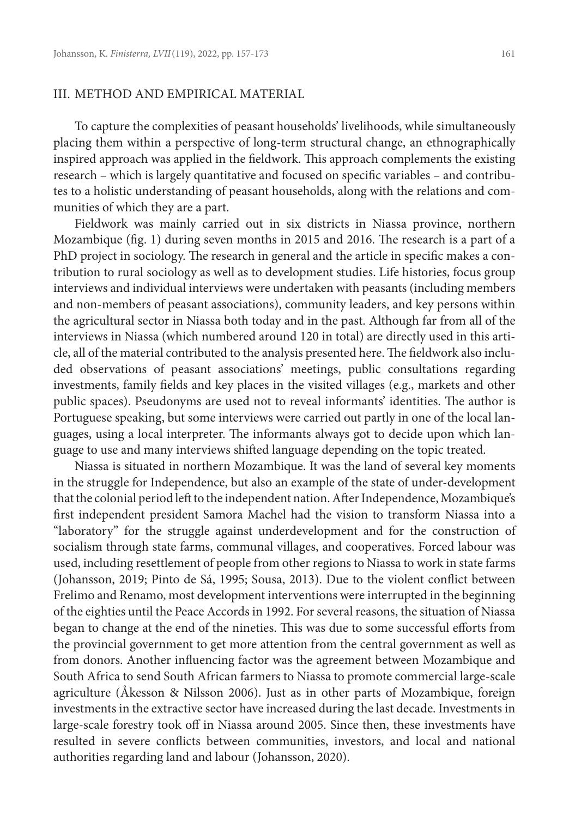## III. METHOD AND EMPIRICAL MATERIAL

To capture the complexities of peasant households' livelihoods, while simultaneously placing them within a perspective of long-term structural change, an ethnographically inspired approach was applied in the fieldwork. This approach complements the existing research – which is largely quantitative and focused on specific variables – and contributes to a holistic understanding of peasant households, along with the relations and communities of which they are a part.

Fieldwork was mainly carried out in six districts in Niassa province, northern Mozambique (fig. 1) during seven months in 2015 and 2016. The research is a part of a PhD project in sociology. The research in general and the article in specific makes a contribution to rural sociology as well as to development studies. Life histories, focus group interviews and individual interviews were undertaken with peasants (including members and non-members of peasant associations), community leaders, and key persons within the agricultural sector in Niassa both today and in the past. Although far from all of the interviews in Niassa (which numbered around 120 in total) are directly used in this article, all of the material contributed to the analysis presented here. The fieldwork also included observations of peasant associations' meetings, public consultations regarding investments, family fields and key places in the visited villages (e.g., markets and other public spaces). Pseudonyms are used not to reveal informants' identities. The author is Portuguese speaking, but some interviews were carried out partly in one of the local languages, using a local interpreter. The informants always got to decide upon which language to use and many interviews shifted language depending on the topic treated.

Niassa is situated in northern Mozambique. It was the land of several key moments in the struggle for Independence, but also an example of the state of under-development that the colonial period left to the independent nation. After Independence, Mozambique's first independent president Samora Machel had the vision to transform Niassa into a "laboratory" for the struggle against underdevelopment and for the construction of socialism through state farms, communal villages, and cooperatives. Forced labour was used, including resettlement of people from other regions to Niassa to work in state farms (Johansson, 2019; Pinto de Sá, 1995; Sousa, 2013). Due to the violent conflict between Frelimo and Renamo, most development interventions were interrupted in the beginning of the eighties until the Peace Accords in 1992. For several reasons, the situation of Niassa began to change at the end of the nineties. This was due to some successful efforts from the provincial government to get more attention from the central government as well as from donors. Another influencing factor was the agreement between Mozambique and South Africa to send South African farmers to Niassa to promote commercial large-scale agriculture (Åkesson & Nilsson 2006). Just as in other parts of Mozambique, foreign investments in the extractive sector have increased during the last decade. Investments in large-scale forestry took off in Niassa around 2005. Since then, these investments have resulted in severe conflicts between communities, investors, and local and national authorities regarding land and labour (Johansson, 2020).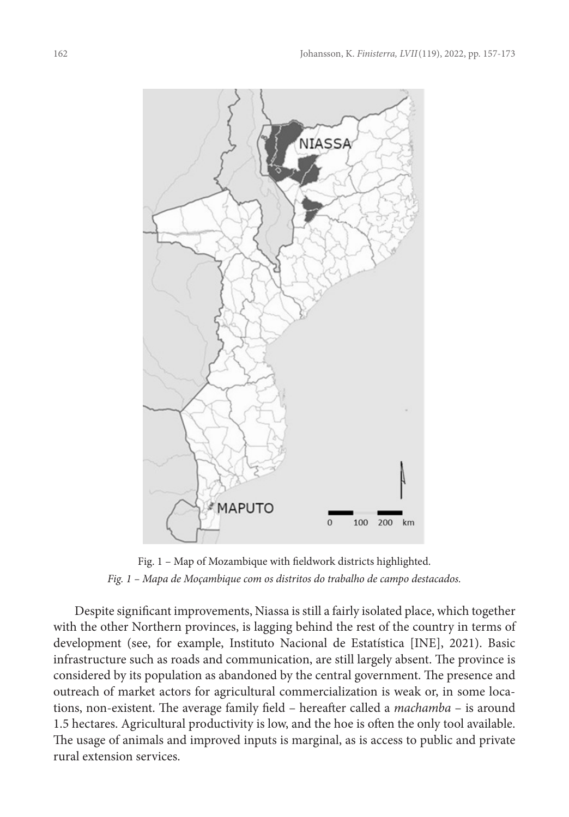

Fig. 1 – Map of Mozambique with fieldwork districts highlighted. *Fig. 1 – Mapa de Moçambique com os distritos do trabalho de campo destacados.*

Despite significant improvements, Niassa is still a fairly isolated place, which together with the other Northern provinces, is lagging behind the rest of the country in terms of development (see, for example, Instituto Nacional de Estatística [INE], 2021). Basic infrastructure such as roads and communication, are still largely absent. The province is considered by its population as abandoned by the central government. The presence and outreach of market actors for agricultural commercialization is weak or, in some locations, non-existent. The average family field – hereafter called a *machamba* – is around 1.5 hectares. Agricultural productivity is low, and the hoe is often the only tool available. The usage of animals and improved inputs is marginal, as is access to public and private rural extension services.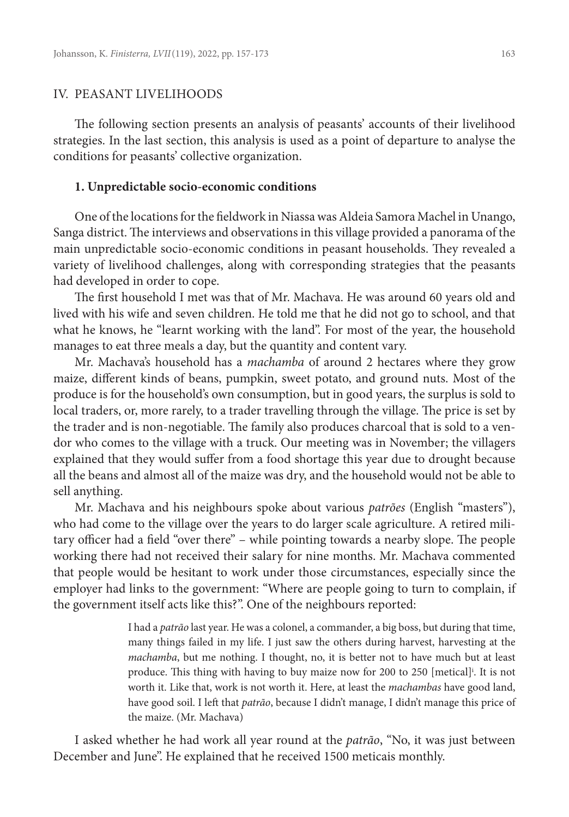## IV. PEASANT LIVELIHOODS

The following section presents an analysis of peasants' accounts of their livelihood strategies. In the last section, this analysis is used as a point of departure to analyse the conditions for peasants' collective organization.

#### **1. Unpredictable socio-economic conditions**

One of the locations for the fieldwork in Niassa was Aldeia Samora Machel in Unango, Sanga district. The interviews and observations in this village provided a panorama of the main unpredictable socio-economic conditions in peasant households. They revealed a variety of livelihood challenges, along with corresponding strategies that the peasants had developed in order to cope.

The first household I met was that of Mr. Machava. He was around 60 years old and lived with his wife and seven children. He told me that he did not go to school, and that what he knows, he "learnt working with the land". For most of the year, the household manages to eat three meals a day, but the quantity and content vary.

Mr. Machava's household has a *machamba* of around 2 hectares where they grow maize, different kinds of beans, pumpkin, sweet potato, and ground nuts. Most of the produce is for the household's own consumption, but in good years, the surplus is sold to local traders, or, more rarely, to a trader travelling through the village. The price is set by the trader and is non-negotiable. The family also produces charcoal that is sold to a vendor who comes to the village with a truck. Our meeting was in November; the villagers explained that they would suffer from a food shortage this year due to drought because all the beans and almost all of the maize was dry, and the household would not be able to sell anything.

Mr. Machava and his neighbours spoke about various *patrões* (English "masters"), who had come to the village over the years to do larger scale agriculture. A retired military officer had a field "over there" – while pointing towards a nearby slope. The people working there had not received their salary for nine months. Mr. Machava commented that people would be hesitant to work under those circumstances, especially since the employer had links to the government: "Where are people going to turn to complain, if the government itself acts like this?". One of the neighbours reported:

> I had a *patrão* last year. He was a colonel, a commander, a big boss, but during that time, many things failed in my life. I just saw the others during harvest, harvesting at the *machamba*, but me nothing. I thought, no, it is better not to have much but at least produce. This thing with having to buy maize now for 200 to 250 [metical]<sup>i</sup>. It is not worth it. Like that, work is not worth it. Here, at least the *machambas* have good land, have good soil. I left that *patrão*, because I didn't manage, I didn't manage this price of the maize. (Mr. Machava)

I asked whether he had work all year round at the *patrão*, "No, it was just between December and June". He explained that he received 1500 meticais monthly.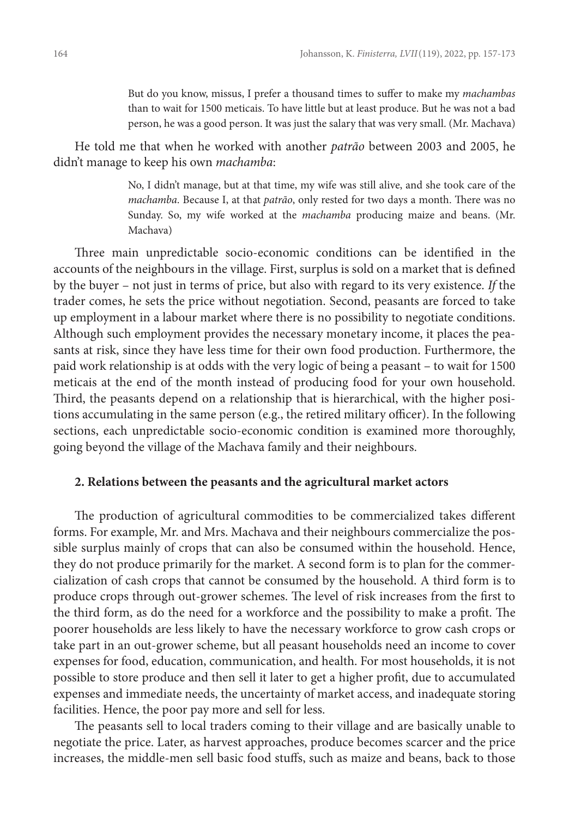But do you know, missus, I prefer a thousand times to suffer to make my *machambas* than to wait for 1500 meticais. To have little but at least produce. But he was not a bad person, he was a good person. It was just the salary that was very small. (Mr. Machava)

He told me that when he worked with another *patrão* between 2003 and 2005, he didn't manage to keep his own *machamba*:

> No, I didn't manage, but at that time, my wife was still alive, and she took care of the *machamba*. Because I, at that *patrão*, only rested for two days a month. There was no Sunday. So, my wife worked at the *machamba* producing maize and beans. (Mr. Machava)

Three main unpredictable socio-economic conditions can be identified in the accounts of the neighbours in the village. First, surplus is sold on a market that is defined by the buyer – not just in terms of price, but also with regard to its very existence. *If* the trader comes, he sets the price without negotiation. Second, peasants are forced to take up employment in a labour market where there is no possibility to negotiate conditions. Although such employment provides the necessary monetary income, it places the peasants at risk, since they have less time for their own food production. Furthermore, the paid work relationship is at odds with the very logic of being a peasant – to wait for 1500 meticais at the end of the month instead of producing food for your own household. Third, the peasants depend on a relationship that is hierarchical, with the higher positions accumulating in the same person (e.g., the retired military officer). In the following sections, each unpredictable socio-economic condition is examined more thoroughly, going beyond the village of the Machava family and their neighbours.

# **2. Relations between the peasants and the agricultural market actors**

The production of agricultural commodities to be commercialized takes different forms. For example, Mr. and Mrs. Machava and their neighbours commercialize the possible surplus mainly of crops that can also be consumed within the household. Hence, they do not produce primarily for the market. A second form is to plan for the commercialization of cash crops that cannot be consumed by the household. A third form is to produce crops through out-grower schemes. The level of risk increases from the first to the third form, as do the need for a workforce and the possibility to make a profit. The poorer households are less likely to have the necessary workforce to grow cash crops or take part in an out-grower scheme, but all peasant households need an income to cover expenses for food, education, communication, and health. For most households, it is not possible to store produce and then sell it later to get a higher profit, due to accumulated expenses and immediate needs, the uncertainty of market access, and inadequate storing facilities. Hence, the poor pay more and sell for less.

The peasants sell to local traders coming to their village and are basically unable to negotiate the price. Later, as harvest approaches, produce becomes scarcer and the price increases, the middle-men sell basic food stuffs, such as maize and beans, back to those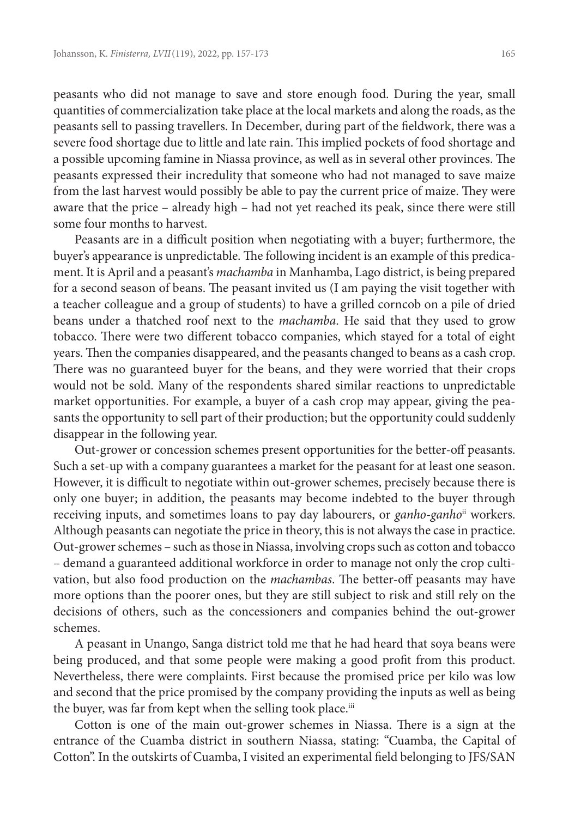peasants who did not manage to save and store enough food. During the year, small quantities of commercialization take place at the local markets and along the roads, as the peasants sell to passing travellers. In December, during part of the fieldwork, there was a severe food shortage due to little and late rain. This implied pockets of food shortage and a possible upcoming famine in Niassa province, as well as in several other provinces. The peasants expressed their incredulity that someone who had not managed to save maize from the last harvest would possibly be able to pay the current price of maize. They were aware that the price – already high – had not yet reached its peak, since there were still some four months to harvest.

Peasants are in a difficult position when negotiating with a buyer; furthermore, the buyer's appearance is unpredictable. The following incident is an example of this predicament. It is April and a peasant's *machamba* in Manhamba, Lago district, is being prepared for a second season of beans. The peasant invited us (I am paying the visit together with a teacher colleague and a group of students) to have a grilled corncob on a pile of dried beans under a thatched roof next to the *machamba*. He said that they used to grow tobacco. There were two different tobacco companies, which stayed for a total of eight years. Then the companies disappeared, and the peasants changed to beans as a cash crop. There was no guaranteed buyer for the beans, and they were worried that their crops would not be sold. Many of the respondents shared similar reactions to unpredictable market opportunities. For example, a buyer of a cash crop may appear, giving the peasants the opportunity to sell part of their production; but the opportunity could suddenly disappear in the following year.

Out-grower or concession schemes present opportunities for the better-off peasants. Such a set-up with a company guarantees a market for the peasant for at least one season. However, it is difficult to negotiate within out-grower schemes, precisely because there is only one buyer; in addition, the peasants may become indebted to the buyer through receiving inputs, and sometimes loans to pay day labourers, or *ganho-ganho*ii workers. Although peasants can negotiate the price in theory, this is not always the case in practice. Out-grower schemes – such as those in Niassa, involving crops such as cotton and tobacco – demand a guaranteed additional workforce in order to manage not only the crop cultivation, but also food production on the *machambas*. The better-off peasants may have more options than the poorer ones, but they are still subject to risk and still rely on the decisions of others, such as the concessioners and companies behind the out-grower schemes.

A peasant in Unango, Sanga district told me that he had heard that soya beans were being produced, and that some people were making a good profit from this product. Nevertheless, there were complaints. First because the promised price per kilo was low and second that the price promised by the company providing the inputs as well as being the buyer, was far from kept when the selling took place.<sup>iii</sup>

Cotton is one of the main out-grower schemes in Niassa. There is a sign at the entrance of the Cuamba district in southern Niassa, stating: "Cuamba, the Capital of Cotton". In the outskirts of Cuamba, I visited an experimental field belonging to JFS/SAN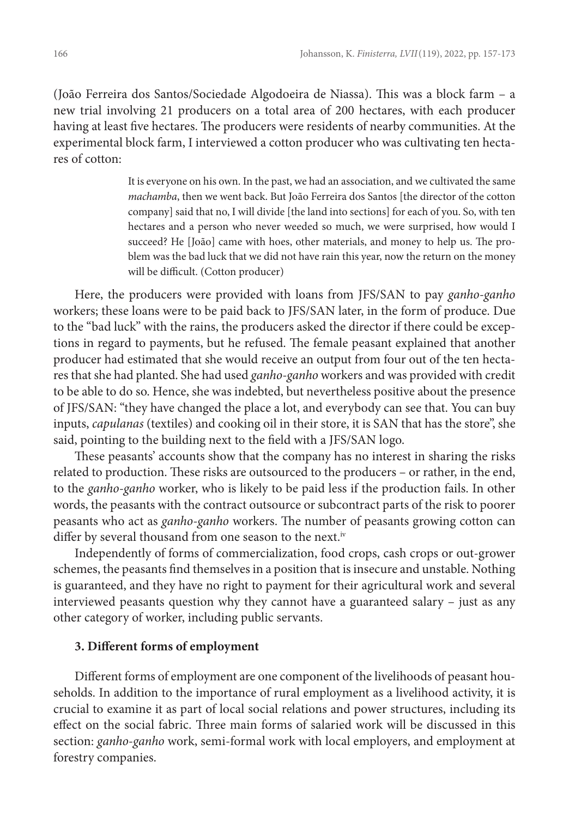(João Ferreira dos Santos/Sociedade Algodoeira de Niassa). This was a block farm – a new trial involving 21 producers on a total area of 200 hectares, with each producer having at least five hectares. The producers were residents of nearby communities. At the experimental block farm, I interviewed a cotton producer who was cultivating ten hectares of cotton:

> It is everyone on his own. In the past, we had an association, and we cultivated the same *machamba*, then we went back. But João Ferreira dos Santos [the director of the cotton company] said that no, I will divide [the land into sections] for each of you. So, with ten hectares and a person who never weeded so much, we were surprised, how would I succeed? He [João] came with hoes, other materials, and money to help us. The problem was the bad luck that we did not have rain this year, now the return on the money will be difficult. (Cotton producer)

Here, the producers were provided with loans from JFS/SAN to pay *ganho-ganho* workers; these loans were to be paid back to JFS/SAN later, in the form of produce. Due to the "bad luck" with the rains, the producers asked the director if there could be exceptions in regard to payments, but he refused. The female peasant explained that another producer had estimated that she would receive an output from four out of the ten hectares that she had planted. She had used *ganho-ganho* workers and was provided with credit to be able to do so. Hence, she was indebted, but nevertheless positive about the presence of JFS/SAN: "they have changed the place a lot, and everybody can see that. You can buy inputs, *capulanas* (textiles) and cooking oil in their store, it is SAN that has the store", she said, pointing to the building next to the field with a JFS/SAN logo.

These peasants' accounts show that the company has no interest in sharing the risks related to production. These risks are outsourced to the producers – or rather, in the end, to the *ganho-ganho* worker, who is likely to be paid less if the production fails. In other words, the peasants with the contract outsource or subcontract parts of the risk to poorer peasants who act as *ganho-ganho* workers. The number of peasants growing cotton can differ by several thousand from one season to the next.iv

Independently of forms of commercialization, food crops, cash crops or out-grower schemes, the peasants find themselves in a position that is insecure and unstable. Nothing is guaranteed, and they have no right to payment for their agricultural work and several interviewed peasants question why they cannot have a guaranteed salary – just as any other category of worker, including public servants.

# **3. Different forms of employment**

Different forms of employment are one component of the livelihoods of peasant households. In addition to the importance of rural employment as a livelihood activity, it is crucial to examine it as part of local social relations and power structures, including its effect on the social fabric. Three main forms of salaried work will be discussed in this section: *ganho-ganho* work, semi-formal work with local employers, and employment at forestry companies.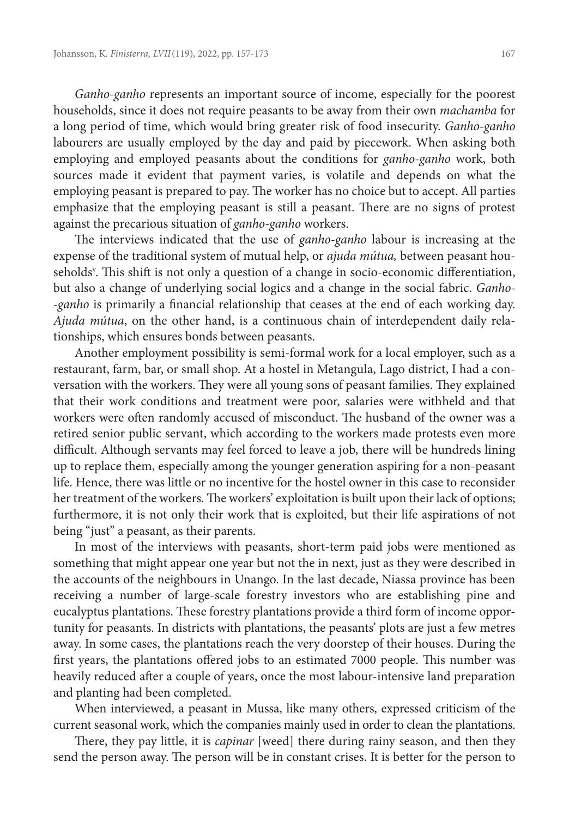*Ganho-ganho* represents an important source of income, especially for the poorest households, since it does not require peasants to be away from their own *machamba* for a long period of time, which would bring greater risk of food insecurity. *Ganho-ganho* labourers are usually employed by the day and paid by piecework. When asking both employing and employed peasants about the conditions for *ganho-ganho* work, both sources made it evident that payment varies, is volatile and depends on what the employing peasant is prepared to pay. The worker has no choice but to accept. All parties emphasize that the employing peasant is still a peasant. There are no signs of protest against the precarious situation of *ganho-ganho* workers.

The interviews indicated that the use of *ganho-ganho* labour is increasing at the expense of the traditional system of mutual help, or *ajuda mútua,* between peasant households<sup>v</sup>. This shift is not only a question of a change in socio-economic differentiation, but also a change of underlying social logics and a change in the social fabric. *Ganho -ganho* is primarily a financial relationship that ceases at the end of each working day. *Ajuda mútua*, on the other hand, is a continuous chain of interdependent daily relationships, which ensures bonds between peasants.

Another employment possibility is semi-formal work for a local employer, such as a restaurant, farm, bar, or small shop. At a hostel in Metangula, Lago district, I had a conversation with the workers. They were all young sons of peasant families. They explained that their work conditions and treatment were poor, salaries were withheld and that workers were often randomly accused of misconduct. The husband of the owner was a retired senior public servant, which according to the workers made protests even more difficult. Although servants may feel forced to leave a job, there will be hundreds lining up to replace them, especially among the younger generation aspiring for a non-peasant life. Hence, there was little or no incentive for the hostel owner in this case to reconsider her treatment of the workers. The workers' exploitation is built upon their lack of options; furthermore, it is not only their work that is exploited, but their life aspirations of not being "just" a peasant, as their parents.

In most of the interviews with peasants, short-term paid jobs were mentioned as something that might appear one year but not the in next, just as they were described in the accounts of the neighbours in Unango. In the last decade, Niassa province has been receiving a number of large-scale forestry investors who are establishing pine and eucalyptus plantations. These forestry plantations provide a third form of income opportunity for peasants. In districts with plantations, the peasants' plots are just a few metres away. In some cases, the plantations reach the very doorstep of their houses. During the first years, the plantations offered jobs to an estimated 7000 people. This number was heavily reduced after a couple of years, once the most labour-intensive land preparation and planting had been completed.

When interviewed, a peasant in Mussa, like many others, expressed criticism of the current seasonal work, which the companies mainly used in order to clean the plantations.

There, they pay little, it is *capinar* [weed] there during rainy season, and then they send the person away. The person will be in constant crises. It is better for the person to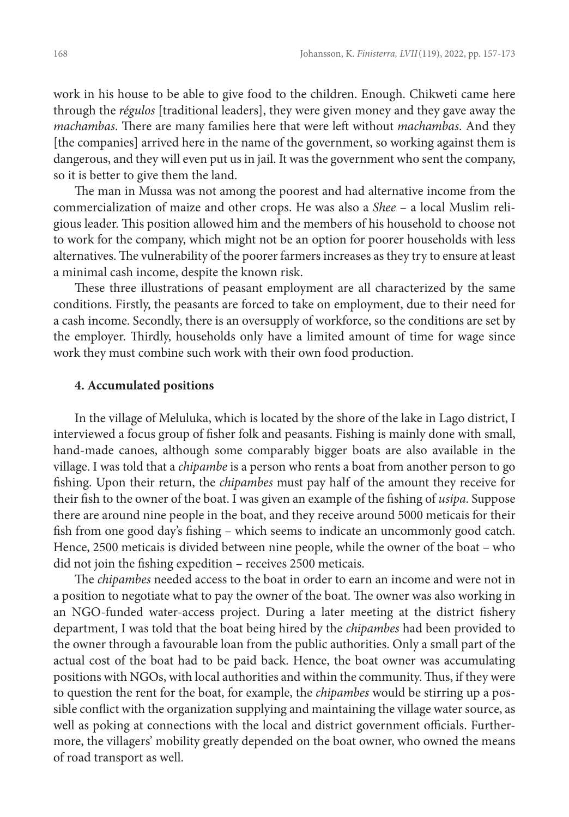work in his house to be able to give food to the children. Enough. Chikweti came here through the *régulos* [traditional leaders], they were given money and they gave away the *machambas*. There are many families here that were left without *machambas*. And they [the companies] arrived here in the name of the government, so working against them is dangerous, and they will even put us in jail. It was the government who sent the company, so it is better to give them the land.

The man in Mussa was not among the poorest and had alternative income from the commercialization of maize and other crops. He was also a *Shee* – a local Muslim religious leader. This position allowed him and the members of his household to choose not to work for the company, which might not be an option for poorer households with less alternatives. The vulnerability of the poorer farmers increases as they try to ensure at least a minimal cash income, despite the known risk.

These three illustrations of peasant employment are all characterized by the same conditions. Firstly, the peasants are forced to take on employment, due to their need for a cash income. Secondly, there is an oversupply of workforce, so the conditions are set by the employer. Thirdly, households only have a limited amount of time for wage since work they must combine such work with their own food production.

#### **4. Accumulated positions**

In the village of Meluluka, which is located by the shore of the lake in Lago district, I interviewed a focus group of fisher folk and peasants. Fishing is mainly done with small, hand-made canoes, although some comparably bigger boats are also available in the village. I was told that a *chipambe* is a person who rents a boat from another person to go fishing. Upon their return, the *chipambes* must pay half of the amount they receive for their fish to the owner of the boat. I was given an example of the fishing of *usipa*. Suppose there are around nine people in the boat, and they receive around 5000 meticais for their fish from one good day's fishing – which seems to indicate an uncommonly good catch. Hence, 2500 meticais is divided between nine people, while the owner of the boat – who did not join the fishing expedition – receives 2500 meticais.

The *chipambes* needed access to the boat in order to earn an income and were not in a position to negotiate what to pay the owner of the boat. The owner was also working in an NGO-funded water-access project. During a later meeting at the district fishery department, I was told that the boat being hired by the *chipambes* had been provided to the owner through a favourable loan from the public authorities. Only a small part of the actual cost of the boat had to be paid back. Hence, the boat owner was accumulating positions with NGOs, with local authorities and within the community. Thus, if they were to question the rent for the boat, for example, the *chipambes* would be stirring up a possible conflict with the organization supplying and maintaining the village water source, as well as poking at connections with the local and district government officials. Furthermore, the villagers' mobility greatly depended on the boat owner, who owned the means of road transport as well.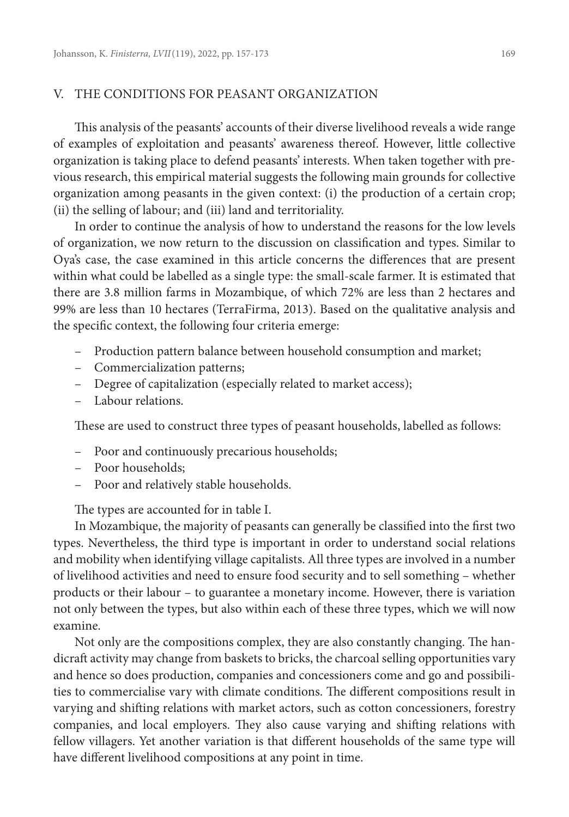## V. THE CONDITIONS FOR PEASANT ORGANIZATION

This analysis of the peasants' accounts of their diverse livelihood reveals a wide range of examples of exploitation and peasants' awareness thereof. However, little collective organization is taking place to defend peasants' interests. When taken together with previous research, this empirical material suggests the following main grounds for collective organization among peasants in the given context: (i) the production of a certain crop; (ii) the selling of labour; and (iii) land and territoriality.

In order to continue the analysis of how to understand the reasons for the low levels of organization, we now return to the discussion on classification and types. Similar to Oya's case, the case examined in this article concerns the differences that are present within what could be labelled as a single type: the small-scale farmer. It is estimated that there are 3.8 million farms in Mozambique, of which 72% are less than 2 hectares and 99% are less than 10 hectares (TerraFirma, 2013). Based on the qualitative analysis and the specific context, the following four criteria emerge:

- Production pattern balance between household consumption and market;
- Commercialization patterns;
- Degree of capitalization (especially related to market access);
- Labour relations.

These are used to construct three types of peasant households, labelled as follows:

- Poor and continuously precarious households;
- Poor households;
- Poor and relatively stable households.

The types are accounted for in table I.

In Mozambique, the majority of peasants can generally be classified into the first two types. Nevertheless, the third type is important in order to understand social relations and mobility when identifying village capitalists. All three types are involved in a number of livelihood activities and need to ensure food security and to sell something – whether products or their labour – to guarantee a monetary income. However, there is variation not only between the types, but also within each of these three types, which we will now examine.

Not only are the compositions complex, they are also constantly changing. The handicraft activity may change from baskets to bricks, the charcoal selling opportunities vary and hence so does production, companies and concessioners come and go and possibilities to commercialise vary with climate conditions. The different compositions result in varying and shifting relations with market actors, such as cotton concessioners, forestry companies, and local employers. They also cause varying and shifting relations with fellow villagers. Yet another variation is that different households of the same type will have different livelihood compositions at any point in time.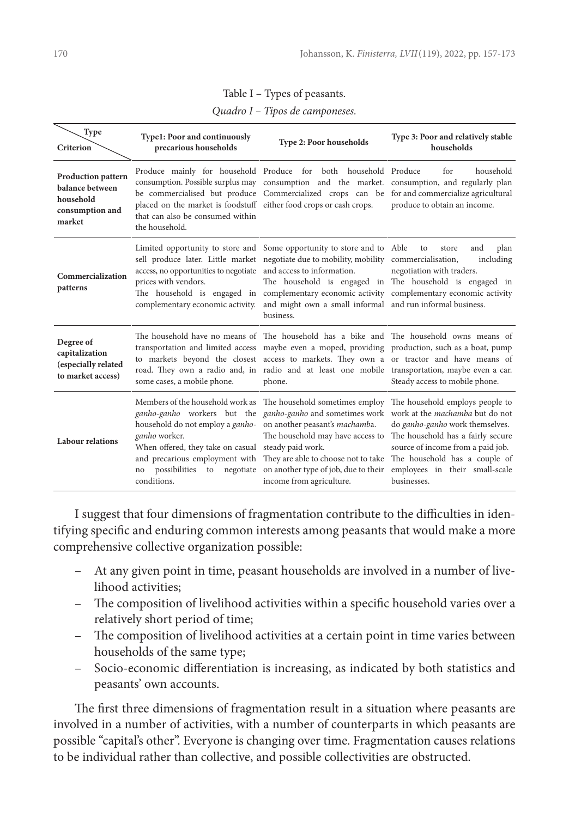|  | Table I – Types of peasants. |
|--|------------------------------|
|--|------------------------------|

| Quadro I – Tipos de camponeses. |  |  |  |
|---------------------------------|--|--|--|
|---------------------------------|--|--|--|

| Type<br>Criterion                                                                      | Type1: Poor and continuously<br>precarious households                                                                                                        | Type 2: Poor households                                                                                                                                                                                                                                                                                                                                                                             | Type 3: Poor and relatively stable<br>households                                                                                                                                                                                 |
|----------------------------------------------------------------------------------------|--------------------------------------------------------------------------------------------------------------------------------------------------------------|-----------------------------------------------------------------------------------------------------------------------------------------------------------------------------------------------------------------------------------------------------------------------------------------------------------------------------------------------------------------------------------------------------|----------------------------------------------------------------------------------------------------------------------------------------------------------------------------------------------------------------------------------|
| <b>Production pattern</b><br>balance between<br>household<br>consumption and<br>market | placed on the market is foodstuff either food crops or cash crops.<br>that can also be consumed within<br>the household.                                     | Produce mainly for household Produce for both household Produce<br>consumption. Possible surplus may consumption and the market. consumption, and regularly plan<br>be commercialised but produce Commercialized crops can be for and commercialize agricultural                                                                                                                                    | household<br>for<br>produce to obtain an income.                                                                                                                                                                                 |
| Commercialization<br>patterns                                                          | access, no opportunities to negotiate and access to information.<br>prices with vendors.                                                                     | Limited opportunity to store and Some opportunity to store and to Able<br>sell produce later. Little market negotiate due to mobility, mobility commercialisation,<br>The household is engaged in complementary economic activity complementary economic activity<br>complementary economic activity. and might own a small informal and run informal business.<br>business.                        | and<br>plan<br>to<br>store<br>including<br>negotiation with traders.<br>The household is engaged in The household is engaged in                                                                                                  |
| Degree of<br>capitalization<br>(especially related<br>to market access)                | some cases, a mobile phone.                                                                                                                                  | The household have no means of The household has a bike and The household owns means of<br>transportation and limited access maybe even a moped, providing production, such as a boat, pump<br>to markets beyond the closest access to markets. They own a or tractor and have means of<br>road. They own a radio and, in radio and at least one mobile transportation, maybe even a car.<br>phone. | Steady access to mobile phone.                                                                                                                                                                                                   |
| <b>Labour relations</b>                                                                | household do not employ a ganho- on another peasant's machamba.<br>ganho worker.<br>When offered, they take on casual steady paid work.<br>no<br>conditions. | Members of the household work as The household sometimes employ<br>ganho-ganho workers but the ganho-ganho and sometimes work<br>The household may have access to<br>and precarious employment with They are able to choose not to take The household has a couple of<br>possibilities to negotiate on another type of job, due to their<br>income from agriculture.                                | The household employs people to<br>work at the machamba but do not<br>do ganho-ganho work themselves.<br>The household has a fairly secure<br>source of income from a paid job.<br>employees in their small-scale<br>businesses. |

I suggest that four dimensions of fragmentation contribute to the difficulties in identifying specific and enduring common interests among peasants that would make a more comprehensive collective organization possible:

- At any given point in time, peasant households are involved in a number of livelihood activities;
- The composition of livelihood activities within a specific household varies over a relatively short period of time;
- The composition of livelihood activities at a certain point in time varies between households of the same type;
- Socio-economic differentiation is increasing, as indicated by both statistics and peasants' own accounts.

The first three dimensions of fragmentation result in a situation where peasants are involved in a number of activities, with a number of counterparts in which peasants are possible "capital's other". Everyone is changing over time. Fragmentation causes relations to be individual rather than collective, and possible collectivities are obstructed.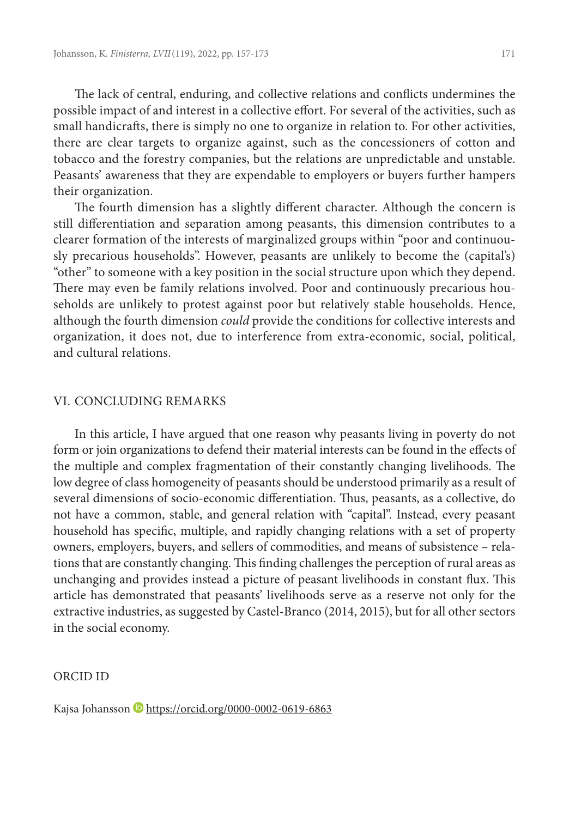The lack of central, enduring, and collective relations and conflicts undermines the possible impact of and interest in a collective effort. For several of the activities, such as small handicrafts, there is simply no one to organize in relation to. For other activities, there are clear targets to organize against, such as the concessioners of cotton and tobacco and the forestry companies, but the relations are unpredictable and unstable. Peasants' awareness that they are expendable to employers or buyers further hampers their organization.

The fourth dimension has a slightly different character. Although the concern is still differentiation and separation among peasants, this dimension contributes to a clearer formation of the interests of marginalized groups within "poor and continuously precarious households". However, peasants are unlikely to become the (capital's) "other" to someone with a key position in the social structure upon which they depend. There may even be family relations involved. Poor and continuously precarious households are unlikely to protest against poor but relatively stable households. Hence, although the fourth dimension *could* provide the conditions for collective interests and organization, it does not, due to interference from extra-economic, social, political, and cultural relations.

#### VI. CONCLUDING REMARKS

In this article, I have argued that one reason why peasants living in poverty do not form or join organizations to defend their material interests can be found in the effects of the multiple and complex fragmentation of their constantly changing livelihoods. The low degree of class homogeneity of peasants should be understood primarily as a result of several dimensions of socio-economic differentiation. Thus, peasants, as a collective, do not have a common, stable, and general relation with "capital". Instead, every peasant household has specific, multiple, and rapidly changing relations with a set of property owners, employers, buyers, and sellers of commodities, and means of subsistence – relations that are constantly changing. This finding challenges the perception of rural areas as unchanging and provides instead a picture of peasant livelihoods in constant flux. This article has demonstrated that peasants' livelihoods serve as a reserve not only for the extractive industries, as suggested by Castel-Branco (2014, 2015), but for all other sectors in the social economy.

# ORCID ID

Kajsa Johansson <https://orcid.org/0000-0002-0619-6863>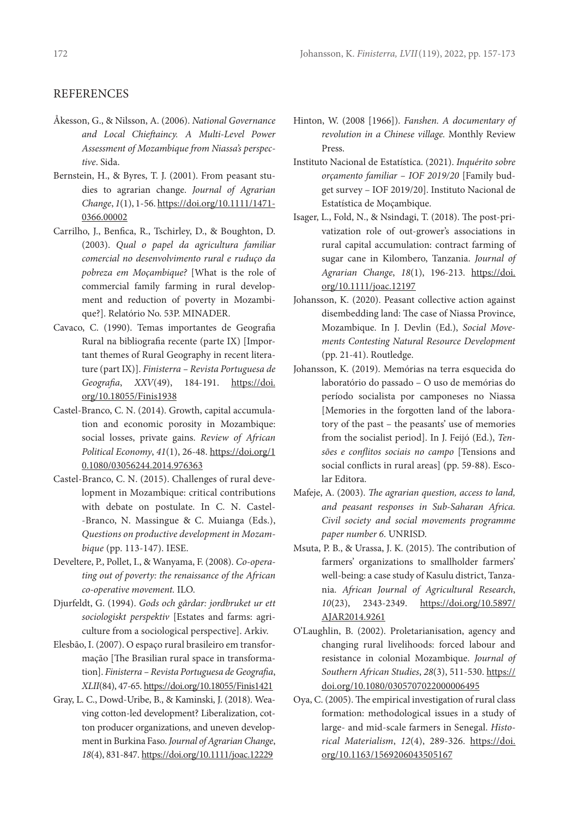#### **REFERENCES**

- Åkesson, G., & Nilsson, A. (2006). *National Governance and Local Chieftaincy. A Multi-Level Power Assessment of Mozambique from Niassa's perspective*. Sida.
- Bernstein, H., & Byres, T. J. (2001). From peasant studies to agrarian change. *Journal of Agrarian Change*, *1*(1), 1-56. [https://doi.org/10.1111/1471-](https://doi.org/10.1111/1471-0366.00002) [0366.00002](https://doi.org/10.1111/1471-0366.00002)
- Carrilho, J., Benfica, R., Tschirley, D., & Boughton, D. (2003). *Qual o papel da agricultura familiar comercial no desenvolvimento rural e ruduço da pobreza em Moçambique?* [What is the role of commercial family farming in rural development and reduction of poverty in Mozambique?]. Relatório No. 53P. MINADER.
- Cavaco, C. (1990). Temas importantes de Geografia Rural na bibliografia recente (parte IX) [Important themes of Rural Geography in recent literature (part IX)]. *Finisterra – Revista Portuguesa de Geografia*, *XXV*(49), 184-191. [https://doi.](https://doi.org/10.18055/Finis1938) [org/10.18055/Finis1938](https://doi.org/10.18055/Finis1938)
- Castel-Branco, C. N. (2014). Growth, capital accumulation and economic porosity in Mozambique: social losses, private gains. *Review of African Political Economy*, *41*(1), 26-48. [https://doi.org/1](https://doi.org/10.1080/03056244.2014.976363) [0.1080/03056244.2014.976363](https://doi.org/10.1080/03056244.2014.976363)
- Castel-Branco, C. N. (2015). Challenges of rural development in Mozambique: critical contributions with debate on postulate. In C. N. Castel- -Branco, N. Massingue & C. Muianga (Eds.), *Questions on productive development in Mozambique* (pp. 113-147). IESE.
- Develtere, P., Pollet, I., & Wanyama, F. (2008). *Co-operating out of poverty: the renaissance of the African co-operative movement.* ILO.
- Djurfeldt, G. (1994). *Gods och gårdar: jordbruket ur ett sociologiskt perspektiv* [Estates and farms: agriculture from a sociological perspective]. Arkiv.
- Elesbão, I. (2007). O espaço rural brasileiro em transformação [The Brasilian rural space in transformation]. *Finisterra – Revista Portuguesa de Geografia*, *XLII*(84), 47-65. <https://doi.org/10.18055/Finis1421>
- Gray, L. C., Dowd-Uribe, B., & Kaminski, J. (2018). Weaving cotton-led development? Liberalization, cotton producer organizations, and uneven development in Burkina Faso. *Journal of Agrarian Change*, *18*(4), 831-847. <https://doi.org/10.1111/joac.12229>
- Hinton, W. (2008 [1966]). *Fanshen. A documentary of revolution in a Chinese village.* Monthly Review Press.
- Instituto Nacional de Estatística. (2021). *Inquérito sobre orçamento familiar – IOF 2019/20* [Family budget survey – IOF 2019/20]. Instituto Nacional de Estatística de Moçambique.
- Isager, L., Fold, N., & Nsindagi, T. (2018). The post-privatization role of out-grower's associations in rural capital accumulation: contract farming of sugar cane in Kilombero, Tanzania. *Journal of Agrarian Change*, *18*(1), 196-213. [https://doi.](https://doi-org.proxy.lnu.se/10.1111/joac.12197) [org/10.1111/joac.12197](https://doi-org.proxy.lnu.se/10.1111/joac.12197)
- Johansson, K. (2020). Peasant collective action against disembedding land: The case of Niassa Province, Mozambique. In J. Devlin (Ed.), *Social Movements Contesting Natural Resource Development* (pp. 21-41). Routledge.
- Johansson, K. (2019). Memórias na terra esquecida do laboratório do passado – O uso de memórias do período socialista por camponeses no Niassa [Memories in the forgotten land of the laboratory of the past – the peasants' use of memories from the socialist period]. In J. Feijó (Ed.), *Tensões e conflitos sociais no campo* [Tensions and social conflicts in rural areas] (pp. 59-88). Escolar Editora.
- Mafeje, A. (2003). *The agrarian question, access to land, and peasant responses in Sub-Saharan Africa. Civil society and social movements programme paper number 6*. UNRISD.
- Msuta, P. B., & Urassa, J. K. (2015). The contribution of farmers' organizations to smallholder farmers' well-being: a case study of Kasulu district, Tanzania. *African Journal of Agricultural Research*, *10*(23), 2343-2349. [https://doi.org/10.5897/](https://doi.org/10.5897/AJAR2014.9261) [AJAR2014.9261](https://doi.org/10.5897/AJAR2014.9261)
- O'Laughlin, B. (2002). Proletarianisation, agency and changing rural livelihoods: forced labour and resistance in colonial Mozambique. *Journal of Southern African Studies*, *28*(3), 511-530. [https://](https://doi.org/10.1080/0305707022000006495) [doi.org/10.1080/0305707022000006495](https://doi.org/10.1080/0305707022000006495)
- Oya, C. (2005). The empirical investigation of rural class formation: methodological issues in a study of large- and mid-scale farmers in Senegal. *Historical Materialism*, *12*(4), 289-326. https://doi. org/10.1163/1569206043505167